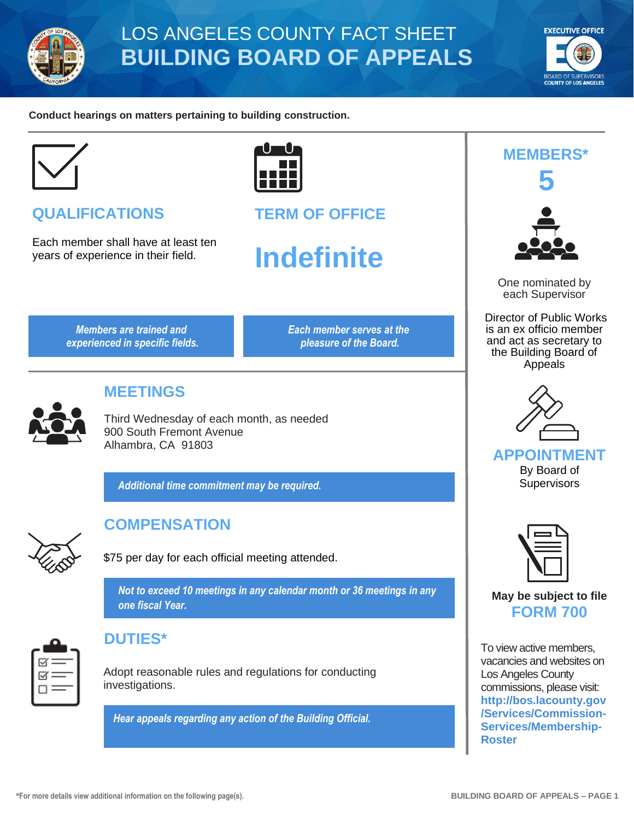

## LOS ANGELES COUNTY FACT SHEET **BUILDING BOARD OF APPEALS**



#### **Conduct hearings on matters pertaining to building construction.**



## **QUALIFICATIONS**

Each member shall have at least ten years of experience in their field.



**TERM OF OFFICE**

# **Indefinite**

*Members are trained and experienced in specific fields.* *Each member serves at the pleasure of the Board.*



### **MEETINGS**

Third Wednesday of each month, as needed 900 South Fremont Avenue Alhambra, CA 91803

*Additional time commitment may be required.*



## **COMPENSATION**

\$75 per day for each official meeting attended.

*Not to exceed 10 meetings in any calendar month or 36 meetings in any one fiscal Year.*



#### **DUTIES\***

Adopt reasonable rules and regulations for conducting investigations.

*Hear appeals regarding any action of the Building Official.*



**MEMBERS\***

One nominated by each Supervisor

Director of Public Works is an ex officio member and act as secretary to the Building Board of Appeals



**APPOINTMENT** By Board of

**Supervisors** 



#### **May be subject to file FORM 700**

To view active members, vacancies and websites on Los Angeles County commissions, please visit: **[http://bos.lacounty.gov](http://bos.lacounty.gov/Services/Commission-Services/Membership-Roster) [/Services/Commission-](http://bos.lacounty.gov/Services/Commission-Services/Membership-Roster)[Services/Membership-](http://bos.lacounty.gov/Services/Commission-Services/Membership-Roster)[Roster](http://bos.lacounty.gov/Services/Commission-Services/Membership-Roster)**